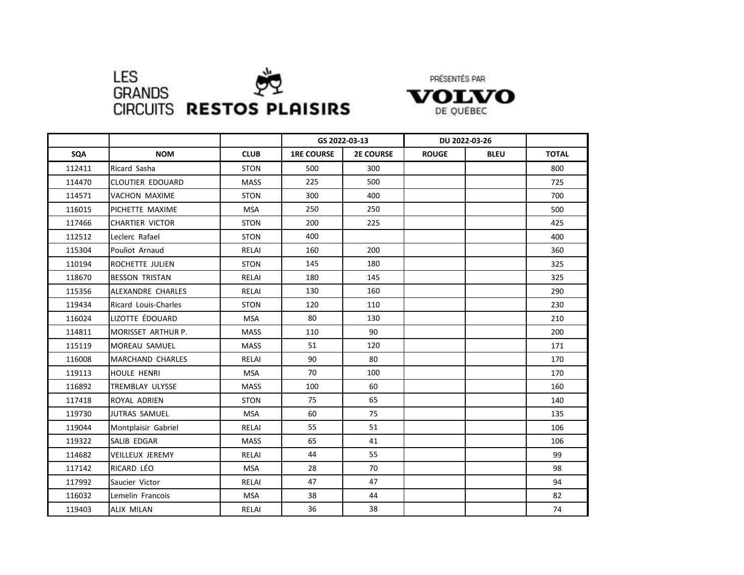

PRÉSENTÉS PAR

VOLVO DE QUÉBEC

|        |                             |             | GS 2022-03-13     |                  | DU 2022-03-26 |             |              |
|--------|-----------------------------|-------------|-------------------|------------------|---------------|-------------|--------------|
| SQA    | <b>NOM</b>                  | <b>CLUB</b> | <b>1RE COURSE</b> | <b>2E COURSE</b> | <b>ROUGE</b>  | <b>BLEU</b> | <b>TOTAL</b> |
| 112411 | Ricard Sasha                | <b>STON</b> | 500               | 300              |               |             | 800          |
| 114470 | <b>CLOUTIER EDOUARD</b>     | <b>MASS</b> | 225               | 500              |               |             | 725          |
| 114571 | VACHON MAXIME               | <b>STON</b> | 300               | 400              |               |             | 700          |
| 116015 | PICHETTE MAXIME             | MSA         | 250               | 250              |               |             | 500          |
| 117466 | <b>CHARTIER VICTOR</b>      | <b>STON</b> | 200               | 225              |               |             | 425          |
| 112512 | Leclerc Rafael              | <b>STON</b> | 400               |                  |               |             | 400          |
| 115304 | Pouliot Arnaud              | RELAI       | 160               | 200              |               |             | 360          |
| 110194 | ROCHETTE JULIEN             | <b>STON</b> | 145               | 180              |               |             | 325          |
| 118670 | <b>BESSON TRISTAN</b>       | RELAI       | 180               | 145              |               |             | 325          |
| 115356 | ALEXANDRE CHARLES           | RELAI       | 130               | 160              |               |             | 290          |
| 119434 | <b>Ricard Louis-Charles</b> | <b>STON</b> | 120               | 110              |               |             | 230          |
| 116024 | LIZOTTE ÉDOUARD             | <b>MSA</b>  | 80                | 130              |               |             | 210          |
| 114811 | MORISSET ARTHUR P.          | <b>MASS</b> | 110               | 90               |               |             | 200          |
| 115119 | <b>MOREAU SAMUEL</b>        | MASS        | 51                | 120              |               |             | 171          |
| 116008 | <b>MARCHAND CHARLES</b>     | RELAI       | 90                | 80               |               |             | 170          |
| 119113 | <b>HOULE HENRI</b>          | <b>MSA</b>  | 70                | 100              |               |             | 170          |
| 116892 | TREMBLAY ULYSSE             | <b>MASS</b> | 100               | 60               |               |             | 160          |
| 117418 | <b>ROYAL ADRIEN</b>         | <b>STON</b> | 75                | 65               |               |             | 140          |
| 119730 | <b>JUTRAS SAMUEL</b>        | <b>MSA</b>  | 60                | 75               |               |             | 135          |
| 119044 | Montplaisir Gabriel         | RELAI       | 55                | 51               |               |             | 106          |
| 119322 | SALIB EDGAR                 | <b>MASS</b> | 65                | 41               |               |             | 106          |
| 114682 | <b>VEILLEUX JEREMY</b>      | RELAI       | 44                | 55               |               |             | 99           |
| 117142 | RICARD LÉO                  | <b>MSA</b>  | 28                | 70               |               |             | 98           |
| 117992 | Saucier Victor              | RELAI       | 47                | 47               |               |             | 94           |
| 116032 | Lemelin Francois            | <b>MSA</b>  | 38                | 44               |               |             | 82           |
| 119403 | ALIX MILAN                  | RELAI       | 36                | 38               |               |             | 74           |